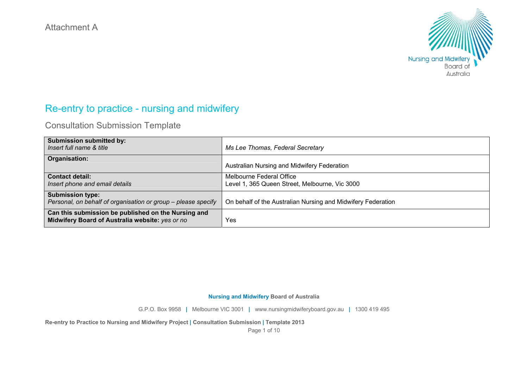

# Re-entry to practice - nursing and midwifery

Consultation Submission Template

| <b>Submission submitted by:</b><br>Insert full name & title                                            | Ms Lee Thomas, Federal Secretary                                           |
|--------------------------------------------------------------------------------------------------------|----------------------------------------------------------------------------|
| Organisation:                                                                                          | Australian Nursing and Midwifery Federation                                |
| <b>Contact detail:</b><br>Insert phone and email details                                               | Melbourne Federal Office<br>Level 1, 365 Queen Street, Melbourne, Vic 3000 |
| <b>Submission type:</b><br>Personal, on behalf of organisation or group - please specify               | On behalf of the Australian Nursing and Midwifery Federation               |
| Can this submission be published on the Nursing and<br>Midwifery Board of Australia website: yes or no | Yes                                                                        |

## **Nursing and Midwifery Board of Australia**

G.P.O. Box 9958 **|** Melbourne VIC 3001 **|** www.nursingmidwiferyboard.gov.au **|** 1300 419 495

**Re-entry to Practice to Nursing and Midwifery Project | Consultation Submission | Template 2013** 

Page 1 of 10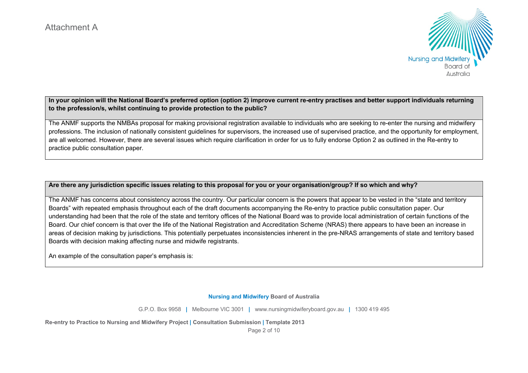

**In your opinion will the National Board's preferred option (option 2) improve current re-entry practises and better support individuals returning to the profession/s, whilst continuing to provide protection to the public?** 

The ANMF supports the NMBAs proposal for making provisional registration available to individuals who are seeking to re-enter the nursing and midwifery professions. The inclusion of nationally consistent guidelines for supervisors, the increased use of supervised practice, and the opportunity for employment, are all welcomed. However, there are several issues which require clarification in order for us to fully endorse Option 2 as outlined in the Re-entry to practice public consultation paper.

**Are there any jurisdiction specific issues relating to this proposal for you or your organisation/group? If so which and why?** 

The ANMF has concerns about consistency across the country. Our particular concern is the powers that appear to be vested in the "state and territory Boards" with repeated emphasis throughout each of the draft documents accompanying the Re-entry to practice public consultation paper. Our understanding had been that the role of the state and territory offices of the National Board was to provide local administration of certain functions of the Board. Our chief concern is that over the life of the National Registration and Accreditation Scheme (NRAS) there appears to have been an increase in areas of decision making by jurisdictions. This potentially perpetuates inconsistencies inherent in the pre-NRAS arrangements of state and territory based Boards with decision making affecting nurse and midwife registrants.

An example of the consultation paper's emphasis is:

#### **Nursing and Midwifery Board of Australia**

G.P.O. Box 9958 **|** Melbourne VIC 3001 **|** www.nursingmidwiferyboard.gov.au **|** 1300 419 495

**Re-entry to Practice to Nursing and Midwifery Project | Consultation Submission | Template 2013** 

Page 2 of 10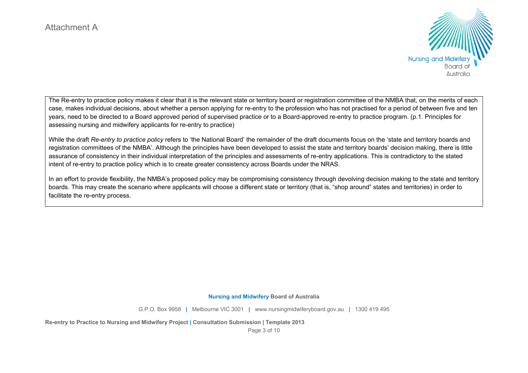

The Re-entry to practice policy makes it clear that it is the relevant state or territory board or registration committee of the NMBA that, on the merits of each case, makes individual decisions, about whether a person applying for re-entry to the profession who has not practised for a period of between five and ten years, need to be directed to a Board approved period of supervised practice or to a Board-approved re-entry to practice program. (p.1. Principles for assessing nursing and midwifery applicants for re-entry to practice)

While the draft *Re-entry to practice policy* refers to 'the National Board' the remainder of the draft documents focus on the 'state and territory boards and registration committees of the NMBA'. Although the principles have been developed to assist the state and territory boards' decision making, there is little assurance of consistency in their individual interpretation of the principles and assessments of re-entry applications. This is contradictory to the stated intent of re-entry to practice policy which is to create greater consistency across Boards under the NRAS.

In an effort to provide flexibility, the NMBA's proposed policy may be compromising consistency through devolving decision making to the state and territory boards. This may create the scenario where applicants will choose a different state or territory (that is, "shop around" states and territories) in order to facilitate the re-entry process.

**Nursing and Midwifery Board of Australia** 

G.P.O. Box 9958 **|** Melbourne VIC 3001 **|** www.nursingmidwiferyboard.gov.au **|** 1300 419 495

**Re-entry to Practice to Nursing and Midwifery Project | Consultation Submission | Template 2013** 

Page 3 of 10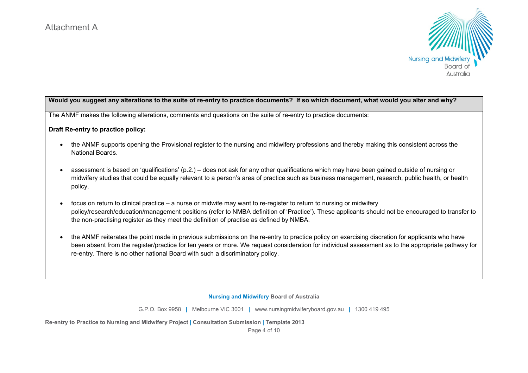

## **Would you suggest any alterations to the suite of re-entry to practice documents? If so which document, what would you alter and why?**

The ANMF makes the following alterations, comments and questions on the suite of re-entry to practice documents:

### **Draft Re-entry to practice policy:**

- the ANMF supports opening the Provisional register to the nursing and midwifery professions and thereby making this consistent across the National Boards.
- assessment is based on 'qualifications' (p.2.) does not ask for any other qualifications which may have been gained outside of nursing or midwifery studies that could be equally relevant to a person's area of practice such as business management, research, public health, or health policy.
- focus on return to clinical practice a nurse or midwife may want to re-register to return to nursing or midwifery policy/research/education/management positions (refer to NMBA definition of 'Practice'). These applicants should not be encouraged to transfer to the non-practising register as they meet the definition of practise as defined by NMBA.
- the ANMF reiterates the point made in previous submissions on the re-entry to practice policy on exercising discretion for applicants who have been absent from the register/practice for ten years or more. We request consideration for individual assessment as to the appropriate pathway for re-entry. There is no other national Board with such a discriminatory policy.

#### **Nursing and Midwifery Board of Australia**

G.P.O. Box 9958 **|** Melbourne VIC 3001 **|** www.nursingmidwiferyboard.gov.au **|** 1300 419 495

**Re-entry to Practice to Nursing and Midwifery Project | Consultation Submission | Template 2013** 

Page 4 of 10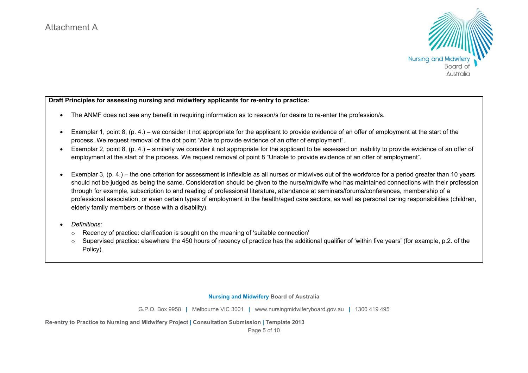

**Draft Principles for assessing nursing and midwifery applicants for re-entry to practice:** 

- The ANMF does not see any benefit in requiring information as to reason/s for desire to re-enter the profession/s.
- Exemplar 1, point 8, (p. 4.) we consider it not appropriate for the applicant to provide evidence of an offer of employment at the start of the process. We request removal of the dot point "Able to provide evidence of an offer of employment".
- Exemplar 2, point 8, (p. 4.) similarly we consider it not appropriate for the applicant to be assessed on inability to provide evidence of an offer of employment at the start of the process. We request removal of point 8 "Unable to provide evidence of an offer of employment".
- Exemplar 3, (p. 4.) the one criterion for assessment is inflexible as all nurses or midwives out of the workforce for a period greater than 10 years should not be judged as being the same. Consideration should be given to the nurse/midwife who has maintained connections with their profession through for example, subscription to and reading of professional literature, attendance at seminars/forums/conferences, membership of a professional association, or even certain types of employment in the health/aged care sectors, as well as personal caring responsibilities (children, elderly family members or those with a disability).
- $\bullet$  *Definitions:*
	- Recency of practice: clarification is sought on the meaning of 'suitable connection'
	- $\circ$  Supervised practice: elsewhere the 450 hours of recency of practice has the additional qualifier of 'within five years' (for example, p.2. of the Policy).

#### **Nursing and Midwifery Board of Australia**

G.P.O. Box 9958 **|** Melbourne VIC 3001 **|** www.nursingmidwiferyboard.gov.au **|** 1300 419 495

**Re-entry to Practice to Nursing and Midwifery Project | Consultation Submission | Template 2013** 

Page 5 of 10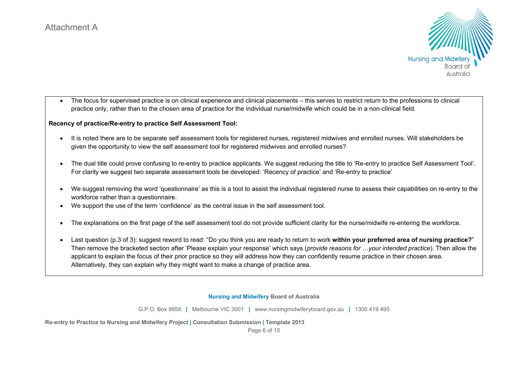

 The focus for supervised practice is on clinical experience and clinical placements – this serves to restrict return to the professions to clinical practice only, rather than to the chosen area of practice for the individual nurse/midwife which could be in a non-clinical field.

## **Recency of practice/Re-entry to practice Self Assessment Tool:**

- It is noted there are to be separate self assessment tools for registered nurses, registered midwives and enrolled nurses. Will stakeholders be given the opportunity to view the self assessment tool for registered midwives and enrolled nurses?
- The dual title could prove confusing to re-entry to practice applicants. We suggest reducing the title to 'Re-entry to practice Self Assessment Tool'. For clarity we suggest two separate assessment tools be developed: 'Recency of practice' and 'Re-entry to practice'
- We suggest removing the word 'questionnaire' as this is a tool to assist the individual registered nurse to assess their capabilities on re-entry to the workforce rather than a questionnaire.
- We support the use of the term 'confidence' as the central issue in the self assessment tool.
- The explanations on the first page of the self assessment tool do not provide sufficient clarity for the nurse/midwife re-entering the workforce.
- Last question (p.3 of 3): suggest reword to read: "Do you think you are ready to return to work **within your preferred area of nursing practice?**" Then remove the bracketed section after 'Please explain your response' which says (*provide reasons for …your intended practice*). Then allow the applicant to explain the focus of their prior practice so they will address how they can confidently resume practice in their chosen area. Alternatively, they can explain why they might want to make a change of practice area.

#### **Nursing and Midwifery Board of Australia**

G.P.O. Box 9958 **|** Melbourne VIC 3001 **|** www.nursingmidwiferyboard.gov.au **|** 1300 419 495

**Re-entry to Practice to Nursing and Midwifery Project | Consultation Submission | Template 2013** 

Page 6 of 10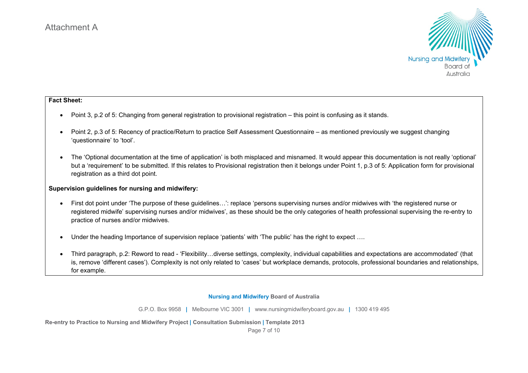

## **Fact Sheet:**

- Point 3, p.2 of 5: Changing from general registration to provisional registration this point is confusing as it stands.
- Point 2, p.3 of 5: Recency of practice/Return to practice Self Assessment Questionnaire as mentioned previously we suggest changing 'questionnaire' to 'tool'.
- The 'Optional documentation at the time of application' is both misplaced and misnamed. It would appear this documentation is not really 'optional' but a 'requirement' to be submitted. If this relates to Provisional registration then it belongs under Point 1, p.3 of 5: Application form for provisional registration as a third dot point.

## **Supervision guidelines for nursing and midwifery:**

- First dot point under 'The purpose of these guidelines…': replace 'persons supervising nurses and/or midwives with 'the registered nurse or registered midwife' supervising nurses and/or midwives', as these should be the only categories of health professional supervising the re-entry to practice of nurses and/or midwives.
- Under the heading Importance of supervision replace 'patients' with 'The public' has the right to expect ….
- Third paragraph, p.2: Reword to read 'Flexibility…diverse settings, complexity, individual capabilities and expectations are accommodated' (that is, remove 'different cases'). Complexity is not only related to 'cases' but workplace demands, protocols, professional boundaries and relationships, for example.

#### **Nursing and Midwifery Board of Australia**

G.P.O. Box 9958 **|** Melbourne VIC 3001 **|** www.nursingmidwiferyboard.gov.au **|** 1300 419 495

**Re-entry to Practice to Nursing and Midwifery Project | Consultation Submission | Template 2013** 

Page 7 of 10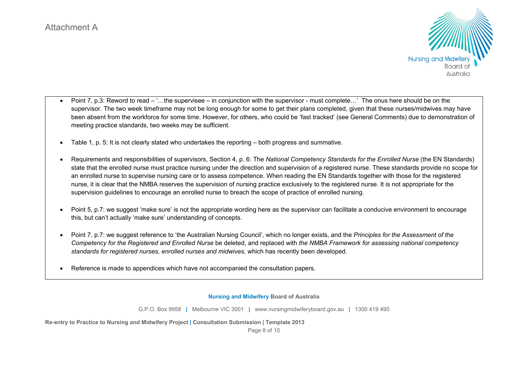

- Point 7, p.3: Reword to read '…the supervisee in conjunction with the supervisor must complete…' The onus here should be on the supervisor. The two week timeframe may not be long enough for some to get their plans completed, given that these nurses/midwives may have been absent from the workforce for some time. However, for others, who could be 'fast tracked' (see General Comments) due to demonstration of meeting practice standards, two weeks may be sufficient.
- Table 1, p. 5: It is not clearly stated who undertakes the reporting both progress and summative.
- Requirements and responsibilities of supervisors, Section 4, p. 6: The *National Competency Standards for the Enrolled Nurse* (the EN Standards) state that the enrolled nurse must practice nursing under the direction and supervision of a registered nurse. These standards provide no scope for an enrolled nurse to supervise nursing care or to assess competence. When reading the EN Standards together with those for the registered nurse, it is clear that the NMBA reserves the supervision of nursing practice exclusively to the registered nurse. It is not appropriate for the supervision guidelines to encourage an enrolled nurse to breach the scope of practice of enrolled nursing.
- Point 5, p.7: we suggest 'make sure' is not the appropriate wording here as the supervisor can facilitate a conducive environment to encourage this, but can't actually 'make sure' understanding of concepts.
- Point 7, p.7: we suggest reference to 'the Australian Nursing Council', which no longer exists, and the *Principles for the Assessment of the Competency for the Registered and Enrolled Nurse* be deleted, and replaced with *the NMBA Framework for assessing national competency standards for registered nurses, enrolled nurses and midwives,* which has recently been developed.
- Reference is made to appendices which have not accompanied the consultation papers.

#### **Nursing and Midwifery Board of Australia**

G.P.O. Box 9958 **|** Melbourne VIC 3001 **|** www.nursingmidwiferyboard.gov.au **|** 1300 419 495

**Re-entry to Practice to Nursing and Midwifery Project | Consultation Submission | Template 2013** 

Page 8 of 10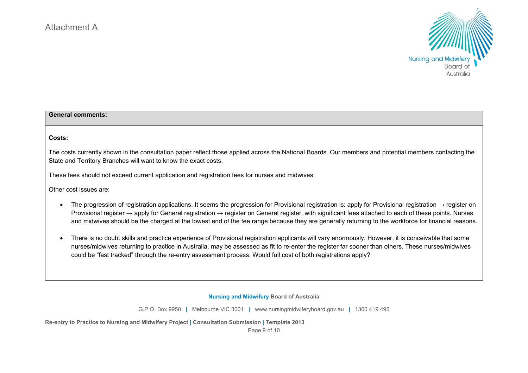

## **General comments:**

#### **Costs:**

The costs currently shown in the consultation paper reflect those applied across the National Boards. Our members and potential members contacting the State and Territory Branches will want to know the exact costs.

These fees should not exceed current application and registration fees for nurses and midwives.

Other cost issues are:

- The progression of registration applications. It seems the progression for Provisional registration is: apply for Provisional registration  $\rightarrow$  register on Provisional register → apply for General registration → register on General register, with significant fees attached to each of these points. Nurses and midwives should be the charged at the lowest end of the fee range because they are generally returning to the workforce for financial reasons.
- There is no doubt skills and practice experience of Provisional registration applicants will vary enormously. However, it is conceivable that some nurses/midwives returning to practice in Australia, may be assessed as fit to re-enter the register far sooner than others. These nurses/midwives could be "fast tracked" through the re-entry assessment process. Would full cost of both registrations apply?

**Nursing and Midwifery Board of Australia** 

G.P.O. Box 9958 **|** Melbourne VIC 3001 **|** www.nursingmidwiferyboard.gov.au **|** 1300 419 495

**Re-entry to Practice to Nursing and Midwifery Project | Consultation Submission | Template 2013** 

Page 9 of 10